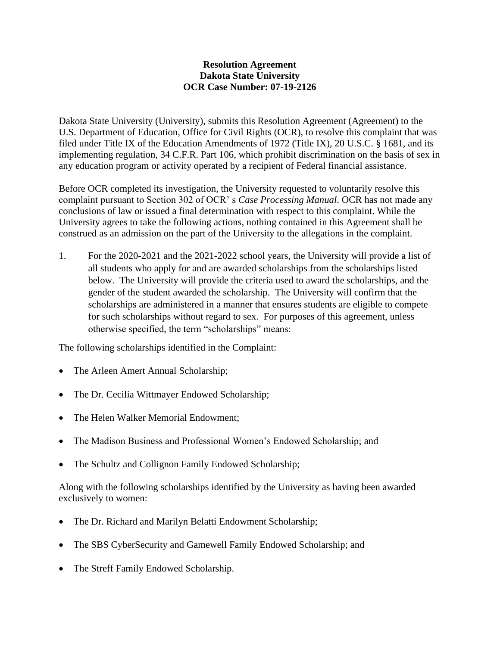## **Resolution Agreement Dakota State University OCR Case Number: 07-19-2126**

Dakota State University (University), submits this Resolution Agreement (Agreement) to the U.S. Department of Education, Office for Civil Rights (OCR), to resolve this complaint that was filed under Title IX of the Education Amendments of 1972 (Title IX), 20 U.S.C. § 1681, and its implementing regulation, 34 C.F.R. Part 106, which prohibit discrimination on the basis of sex in any education program or activity operated by a recipient of Federal financial assistance.

Before OCR completed its investigation, the University requested to voluntarily resolve this complaint pursuant to Section 302 of OCR' s *Case Processing Manual*. OCR has not made any conclusions of law or issued a final determination with respect to this complaint. While the University agrees to take the following actions, nothing contained in this Agreement shall be construed as an admission on the part of the University to the allegations in the complaint.

1. For the 2020-2021 and the 2021-2022 school years, the University will provide a list of all students who apply for and are awarded scholarships from the scholarships listed below. The University will provide the criteria used to award the scholarships, and the gender of the student awarded the scholarship. The University will confirm that the scholarships are administered in a manner that ensures students are eligible to compete for such scholarships without regard to sex. For purposes of this agreement, unless otherwise specified, the term "scholarships" means:

The following scholarships identified in the Complaint:

- The Arleen Amert Annual Scholarship;
- The Dr. Cecilia Wittmayer Endowed Scholarship;
- The Helen Walker Memorial Endowment:
- The Madison Business and Professional Women's Endowed Scholarship; and
- The Schultz and Collignon Family Endowed Scholarship;

Along with the following scholarships identified by the University as having been awarded exclusively to women:

- The Dr. Richard and Marilyn Belatti Endowment Scholarship;
- The SBS CyberSecurity and Gamewell Family Endowed Scholarship; and
- The Streff Family Endowed Scholarship.